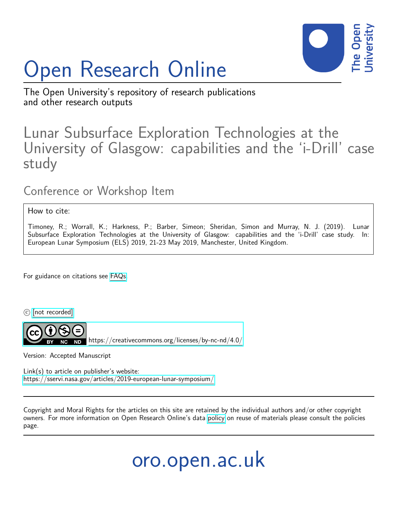# Open Research Online



The Open University's repository of research publications and other research outputs

## Lunar Subsurface Exploration Technologies at the University of Glasgow: capabilities and the 'i-Drill' case study

### Conference or Workshop Item

#### How to cite:

Timoney, R.; Worrall, K.; Harkness, P.; Barber, Simeon; Sheridan, Simon and Murray, N. J. (2019). Lunar Subsurface Exploration Technologies at the University of Glasgow: capabilities and the 'i-Drill' case study. In: European Lunar Symposium (ELS) 2019, 21-23 May 2019, Manchester, United Kingdom.

For guidance on citations see [FAQs.](http://oro.open.ac.uk/help/helpfaq.html)

 $\circled{c}$  [\[not recorded\]](http://oro.open.ac.uk/help/helpfaq.html#Unrecorded_information_on_coversheet)



<https://creativecommons.org/licenses/by-nc-nd/4.0/>

Version: Accepted Manuscript

Link(s) to article on publisher's website: <https://sservi.nasa.gov/articles/2019-european-lunar-symposium/>

Copyright and Moral Rights for the articles on this site are retained by the individual authors and/or other copyright owners. For more information on Open Research Online's data [policy](http://oro.open.ac.uk/policies.html) on reuse of materials please consult the policies page.

## oro.open.ac.uk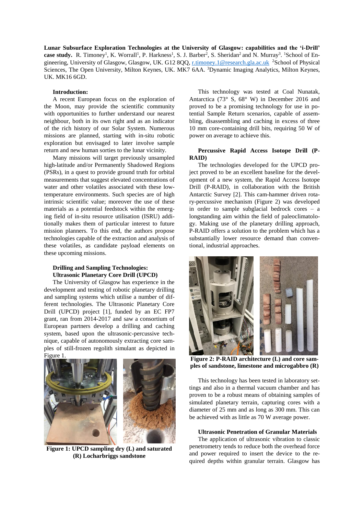**Lunar Subsurface Exploration Technologies at the University of Glasgow: capabilities and the 'i-Drill'**  case study. R. Timoney<sup>1</sup>, K. Worrall<sup>1</sup>, P. Harkness<sup>1</sup>, S. J. Barber<sup>2</sup>, S. Sheridan<sup>2</sup> and N. Murray<sup>3</sup>. <sup>1</sup>School of Engineering, University of Glasgow, Glasgow, UK. G12 8QQ, [r.timoney.1@research.gla.ac.uk](mailto:r.timoney.1@research.gla.ac.uk) <sup>2</sup>School of Physical Sciences, The Open University, Milton Keynes, UK. MK7 6AA. <sup>3</sup>Dynamic Imaging Analytics, Milton Keynes, UK. MK16 6GD.

#### **Introduction:**

A recent European focus on the exploration of the Moon, may provide the scientific community with opportunities to further understand our nearest neighbour, both in its own right and as an indicator of the rich history of our Solar System. Numerous missions are planned, starting with in-situ robotic exploration but envisaged to later involve sample return and new human sorties to the lunar vicinity.

Many missions will target previously unsampled high-latitude and/or Permanently Shadowed Regions (PSRs), in a quest to provide ground truth for orbital measurements that suggest elevated concentrations of water and other volatiles associated with these lowtemperature environments. Such species are of high intrinsic scientific value; moreover the use of these materials as a potential feedstock within the emerging field of in-situ resource utilisation (ISRU) additionally makes them of particular interest to future mission planners. To this end, the authors propose technologies capable of the extraction and analysis of these volatiles, as candidate payload elements on these upcoming missions.

#### **Drilling and Sampling Technologies: Ultrasonic Planetary Core Drill (UPCD)**

The University of Glasgow has experience in the development and testing of robotic planetary drilling and sampling systems which utilise a number of different technologies. The Ultrasonic Planetary Core Drill (UPCD) project [1], funded by an EC FP7 grant, ran from 2014-2017 and saw a consortium of European partners develop a drilling and caching system, based upon the ultrasonic-percussive technique, capable of autonomously extracting core samples of still-frozen regolith simulant as depicted in Figure 1.



**Figure 1: UPCD sampling dry (L) and saturated (R) Locharbriggs sandstone**

This technology was tested at Coal Nunatak, Antarctica (73° S, 68° W) in December 2016 and proved to be a promising technology for use in potential Sample Return scenarios, capable of assembling, disassembling and caching in excess of three 10 mm core-containing drill bits, requiring 50 W of power on average to achieve this.

#### **Percussive Rapid Access Isotope Drill (P-RAID)**

The technologies developed for the UPCD project proved to be an excellent baseline for the development of a new system, the Rapid Access Isotope Drill (P-RAID), in collaboration with the British Antarctic Survey [2]. This cam-hammer driven rotary-percussive mechanism (Figure 2) was developed in order to sample subglacial bedrock cores – a longstanding aim within the field of paleoclimatology. Making use of the planetary drilling approach, P-RAID offers a solution to the problem which has a substantially lower resource demand than conventional, industrial approaches.



**Figure 2: P-RAID architecture (L) and core samples of sandstone, limestone and microgabbro (R)**

This technology has been tested in laboratory settings and also in a thermal vacuum chamber and has proven to be a robust means of obtaining samples of simulated planetary terrain, capturing cores with a diameter of 25 mm and as long as 300 mm. This can be achieved with as little as 70 W average power.

#### **Ultrasonic Penetration of Granular Materials**

The application of ultrasonic vibration to classic penetrometry tends to reduce both the overhead force and power required to insert the device to the required depths within granular terrain. Glasgow has